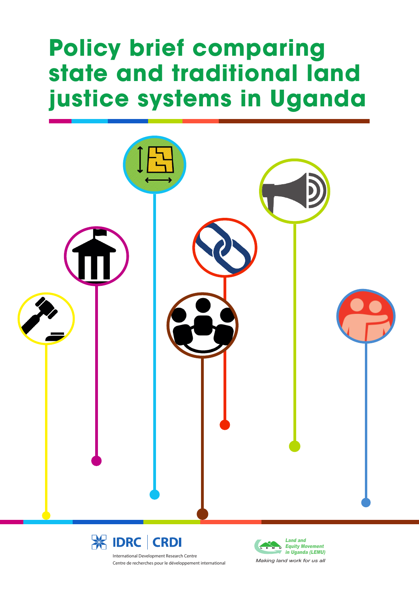# **Policy brief comparing state and traditional land justice systems in Uganda**





International Development Research Centre Centre de recherches pour le développement international

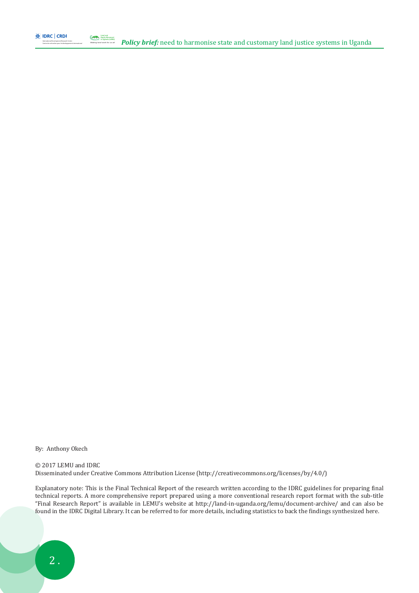

Centre de recherches pour le développement international

*Making land work for us all*

By: Anthony Okech

© 2017 LEMU and IDRC Disseminated under Creative Commons Attribution License (http://creativecommons.org/licenses/by/4.0/)

Explanatory note: This is the Final Technical Report of the research written according to the IDRC guidelines for preparing final technical reports. A more comprehensive report prepared using a more conventional research report format with the sub-title "Final Research Report" is available in LEMU's website at http://land-in-uganda.org/lemu/document-archive/ and can also be found in the IDRC Digital Library. It can be referred to for more details, including statistics to back the findings synthesized here.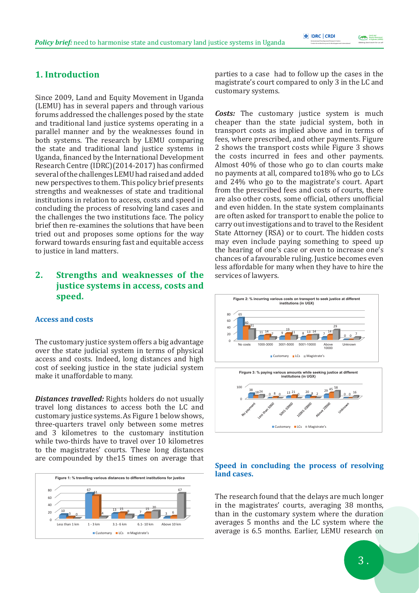#### *Making land work for us all* **Equity Movement** in Uganda (LEMU) L E M U

# **1. Introduction**

Since 2009, Land and Equity Movement in Uganda (LEMU) has in several papers and through various forums addressed the challenges posed by the state and traditional land justice systems operating in a parallel manner and by the weaknesses found in both systems. The research by LEMU comparing the state and traditional land justice systems in Uganda, financed by the International Development Research Centre (IDRC)(2014-2017) has confirmed several of the challenges LEMU had raised and added new perspectives to them. This policy brief presents strengths and weaknesses of state and traditional institutions in relation to access, costs and speed in concluding the process of resolving land cases and the challenges the two institutions face. The policy brief then re-examines the solutions that have been tried out and proposes some options for the way forward towards ensuring fast and equitable access to justice in land matters.

# **2. Strengths and weaknesses of the justice systems in access, costs and speed.**

#### **Access and costs**

The customary justice system offers a big advantage over the state judicial system in terms of physical access and costs. Indeed, long distances and high cost of seeking justice in the state judicial system make it unaffordable to many.

*Distances travelled:* Rights holders do not usually travel long distances to access both the LC and customary justice systems. As Figure 1 below shows, three-quarters travel only between some metres and 3 kilometres to the customary institution while two-thirds have to travel over 10 kilometres to the magistrates' courts. These long distances are compounded by the15 times on average that



parties to a case had to follow up the cases in the magistrate's court compared to only 3 in the LC and customary systems.

*Costs:* The customary justice system is much cheaper than the state judicial system, both in transport costs as implied above and in terms of fees, where prescribed, and other payments. Figure 2 shows the transport costs while Figure 3 shows the costs incurred in fees and other payments. Almost 40% of those who go to clan courts make no payments at all, compared to18% who go to LCs and 24% who go to the magistrate's court. Apart from the prescribed fees and costs of courts, there are also other costs, some official, others unofficial and even hidden. In the state system complainants are often asked for transport to enable the police to carry out investigations and to travel to the Resident State Attorney (RSA) or to court. The hidden costs may even include paying something to speed up the hearing of one's case or even to increase one's chances of a favourable ruling. Justice becomes even less affordable for many when they have to hire the services of lawyers.



#### **Speed in concluding the process of resolving land cases.**

The research found that the delays are much longer in the magistrates' courts, averaging 38 months, than in the customary system where the duration averages 5 months and the LC system where the average is 6.5 months. Earlier, LEMU research on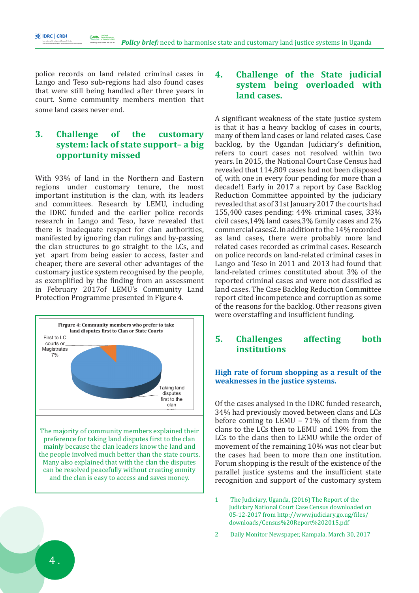police records on land related criminal cases in Lango and Teso sub-regions had also found cases that were still being handled after three years in court. Some community members mention that some land cases never end.

*Making land work for us all* Equity Movement in Uganda (LEMU) L E M U

International Development Research Centre Centre de recherches pour le développement international

**\* IDRC | CRDI** 

# **3. Challenge of the customary system: lack of state support– a big opportunity missed**

With 93% of land in the Northern and Eastern regions under customary tenure, the most important institution is the clan, with its leaders and committees. Research by LEMU, including the IDRC funded and the earlier police records research in Lango and Teso, have revealed that there is inadequate respect for clan authorities, manifested by ignoring clan rulings and by-passing the clan structures to go straight to the LCs, and yet apart from being easier to access, faster and cheaper, there are several other advantages of the customary justice system recognised by the people, as exemplified by the finding from an assessment in February 2017of LEMU's Community Land Protection Programme presented in Figure 4.



The majority of community members explained their preference for taking land disputes first to the clan mainly because the clan leaders know the land and the people involved much better than the state courts. Many also explained that with the clan the disputes can be resolved peacefully without creating enmity and the clan is easy to access and saves money.

# **4. Challenge of the State judicial system being overloaded with land cases.**

A significant weakness of the state justice system is that it has a heavy backlog of cases in courts, many of them land cases or land related cases. Case backlog, by the Ugandan Judiciary's definition, refers to court cases not resolved within two years. In 2015, the National Court Case Census had revealed that 114,809 cases had not been disposed of, with one in every four pending for more than a decade!1 Early in 2017 a report by Case Backlog Reduction Committee appointed by the judiciary revealed that as of 31st January 2017 the courts had 155,400 cases pending: 44% criminal cases, 33% civil cases,14% land cases,3% family cases and 2% commercial cases2. In addition to the 14% recorded as land cases, there were probably more land related cases recorded as criminal cases. Research on police records on land-related criminal cases in Lango and Teso in 2011 and 2013 had found that land-related crimes constituted about 3% of the reported criminal cases and were not classified as land cases. The Case Backlog Reduction Committee report cited incompetence and corruption as some of the reasons for the backlog. Other reasons given were overstaffing and insufficient funding.

## **5. Challenges affecting both institutions**

#### **High rate of forum shopping as a result of the weaknesses in the justice systems.**

Of the cases analysed in the IDRC funded research, 34% had previously moved between clans and LCs before coming to LEMU – 71% of them from the clans to the LCs then to LEMU and 19% from the LCs to the clans then to LEMU while the order of movement of the remaining 10% was not clear but the cases had been to more than one institution. Forum shopping is the result of the existence of the parallel justice systems and the insufficient state recognition and support of the customary system

<sup>1</sup> The Judiciary, Uganda, (2016) The Report of the Judiciary National Court Case Census downloaded on 05-12-2017 from http://www.judiciary.go.ug/files/ downloads/Census%20Report%202015.pdf

<sup>2</sup> Daily Monitor Newspaper, Kampala, March 30, 2017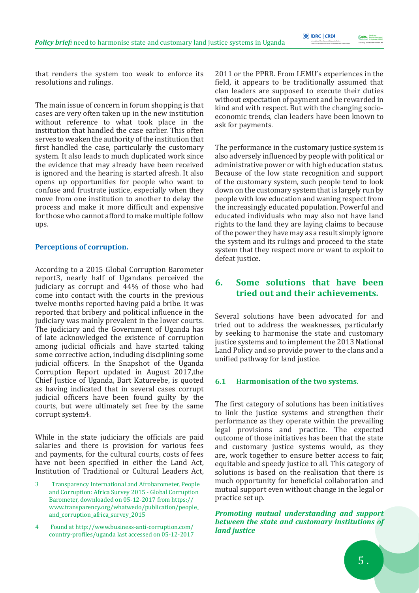*Making land work for us all* **Equity Movement** in Uganda (LEMU) L E M U

that renders the system too weak to enforce its resolutions and rulings.

The main issue of concern in forum shopping is that cases are very often taken up in the new institution without reference to what took place in the institution that handled the case earlier. This often serves to weaken the authority of the institution that first handled the case, particularly the customary system. It also leads to much duplicated work since the evidence that may already have been received is ignored and the hearing is started afresh. It also opens up opportunities for people who want to confuse and frustrate justice, especially when they move from one institution to another to delay the process and make it more difficult and expensive for those who cannot afford to make multiple follow ups.

#### **Perceptions of corruption.**

According to a 2015 Global Corruption Barometer report3, nearly half of Ugandans perceived the judiciary as corrupt and 44% of those who had come into contact with the courts in the previous twelve months reported having paid a bribe. It was reported that bribery and political influence in the judiciary was mainly prevalent in the lower courts. The judiciary and the Government of Uganda has of late acknowledged the existence of corruption among judicial officials and have started taking some corrective action, including disciplining some judicial officers. In the Snapshot of the Uganda Corruption Report updated in August 2017,the Chief Justice of Uganda, Bart Katureebe, is quoted as having indicated that in several cases corrupt judicial officers have been found guilty by the courts, but were ultimately set free by the same corrupt system4.

While in the state judiciary the officials are paid salaries and there is provision for various fees and payments, for the cultural courts, costs of fees have not been specified in either the Land Act, Institution of Traditional or Cultural Leaders Act, 2011 or the PPRR. From LEMU's experiences in the field, it appears to be traditionally assumed that clan leaders are supposed to execute their duties without expectation of payment and be rewarded in kind and with respect. But with the changing socioeconomic trends, clan leaders have been known to ask for payments.

The performance in the customary justice system is also adversely influenced by people with political or administrative power or with high education status. Because of the low state recognition and support of the customary system, such people tend to look down on the customary system that is largely run by people with low education and waning respect from the increasingly educated population. Powerful and educated individuals who may also not have land rights to the land they are laying claims to because of the power they have may as a result simply ignore the system and its rulings and proceed to the state system that they respect more or want to exploit to defeat justice.

# **6. Some solutions that have been tried out and their achievements.**

Several solutions have been advocated for and tried out to address the weaknesses, particularly by seeking to harmonise the state and customary justice systems and to implement the 2013 National Land Policy and so provide power to the clans and a unified pathway for land justice.

### **6.1 Harmonisation of the two systems.**

The first category of solutions has been initiatives to link the justice systems and strengthen their performance as they operate within the prevailing legal provisions and practice. The expected outcome of those initiatives has been that the state and customary justice systems would, as they are, work together to ensure better access to fair, equitable and speedy justice to all. This category of solutions is based on the realisation that there is much opportunity for beneficial collaboration and mutual support even without change in the legal or practice set up.

*Promoting mutual understanding and support between the state and customary institutions of land justice*

<sup>3</sup> Transparency International and Afrobarometer, People and Corruption: Africa Survey 2015 - Global Corruption Barometer, downloaded on 05-12-2017 from https:// www.transparency.org/whatwedo/publication/people\_ and\_corruption\_africa\_survey\_2015

<sup>4</sup> Found at http://www.business-anti-corruption.com/ country-profiles/uganda last accessed on 05-12-2017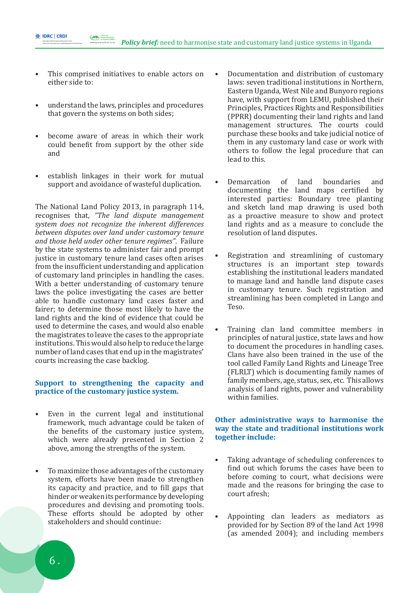This comprised initiatives to enable actors on either side to:

*Making land work for us all* Equity Movement in Uganda (LEMU) L E M U

International Development Research Centre Centre de recherches pour le développement international

**\* IDRC | CRDI** 

- understand the laws, principles and procedures that govern the systems on both sides;
- become aware of areas in which their work could benefit from support by the other side and
- establish linkages in their work for mutual support and avoidance of wasteful duplication.

The National Land Policy 2013, in paragraph 114, recognises that, *"The land dispute management system does not recognize the inherent differences between disputes over land under customary tenure and those held under other tenure regimes"*. Failure by the state systems to administer fair and prompt justice in customary tenure land cases often arises from the insufficient understanding and application of customary land principles in handling the cases. With a better understanding of customary tenure laws the police investigating the cases are better able to handle customary land cases faster and fairer; to determine those most likely to have the land rights and the kind of evidence that could be used to determine the cases, and would also enable the magistrates to leave the cases to the appropriate institutions. This would also help to reduce the large number of land cases that end up in the magistrates' courts increasing the case backlog.

#### **Support to strengthening the capacity and practice of the customary justice system.**

- Even in the current legal and institutional framework, much advantage could be taken of the benefits of the customary justice system, which were already presented in Section 2 above, among the strengths of the system.
- To maximize those advantages of the customary system, efforts have been made to strengthen its capacity and practice, and to fill gaps that hinder or weaken its performance by developing procedures and devising and promoting tools. These efforts should be adopted by other stakeholders and should continue:
- Documentation and distribution of customary laws: seven traditional institutions in Northern, Eastern Uganda, West Nile and Bunyoro regions have, with support from LEMU, published their Principles, Practices Rights and Responsibilities (PPRR) documenting their land rights and land management structures. The courts could purchase these books and take judicial notice of them in any customary land case or work with others to follow the legal procedure that can lead to this.
- Demarcation of land boundaries and documenting the land maps certified by interested parties: Boundary tree planting and sketch land map drawing is used both as a proactive measure to show and protect land rights and as a measure to conclude the resolution of land disputes.
- Registration and streamlining of customary structures is an important step towards establishing the institutional leaders mandated to manage land and handle land dispute cases in customary tenure. Such registration and streamlining has been completed in Lango and Teso.
- Training clan land committee members in principles of natural justice, state laws and how to document the procedures in handling cases. Clans have also been trained in the use of the tool called Family Land Rights and Lineage Tree (FLRLT) which is documenting family names of family members, age, status, sex, etc. This allows analysis of land rights, power and vulnerability within families.

#### **Other administrative ways to harmonise the way the state and traditional institutions work together include:**

- Taking advantage of scheduling conferences to find out which forums the cases have been to before coming to court, what decisions were made and the reasons for bringing the case to court afresh;
- Appointing clan leaders as mediators as provided for by Section 89 of the land Act 1998 (as amended 2004); and including members

 $6<sub>1</sub>$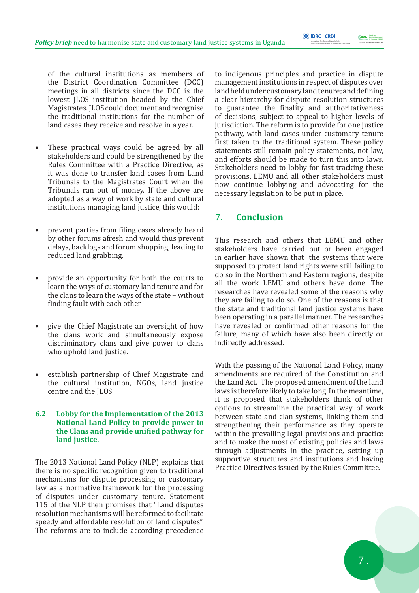*Making land work for us all* **Equity Movement** in Uganda (LEMU) L E M U

of the cultural institutions as members of the District Coordination Committee (DCC) meetings in all districts since the DCC is the lowest JLOS institution headed by the Chief Magistrates. JLOS could document and recognise the traditional institutions for the number of land cases they receive and resolve in a year.

- These practical ways could be agreed by all stakeholders and could be strengthened by the Rules Committee with a Practice Directive, as it was done to transfer land cases from Land Tribunals to the Magistrates Court when the Tribunals ran out of money. If the above are adopted as a way of work by state and cultural institutions managing land justice, this would:
- prevent parties from filing cases already heard by other forums afresh and would thus prevent delays, backlogs and forum shopping, leading to reduced land grabbing.
- provide an opportunity for both the courts to learn the ways of customary land tenure and for the clans to learn the ways of the state – without finding fault with each other
- give the Chief Magistrate an oversight of how the clans work and simultaneously expose discriminatory clans and give power to clans who uphold land justice.
- establish partnership of Chief Magistrate and the cultural institution, NGOs, land justice centre and the JLOS.

#### **6.2 Lobby for the Implementation of the 2013 National Land Policy to provide power to the Clans and provide unified pathway for land justice.**

The 2013 National Land Policy (NLP) explains that there is no specific recognition given to traditional mechanisms for dispute processing or customary law as a normative framework for the processing of disputes under customary tenure. Statement 115 of the NLP then promises that "Land disputes resolution mechanisms will be reformed to facilitate speedy and affordable resolution of land disputes". The reforms are to include according precedence

to indigenous principles and practice in dispute management institutions in respect of disputes over land held under customary land tenure; and defining a clear hierarchy for dispute resolution structures to guarantee the finality and authoritativeness of decisions, subject to appeal to higher levels of jurisdiction. The reform is to provide for one justice pathway, with land cases under customary tenure first taken to the traditional system. These policy statements still remain policy statements, not law, and efforts should be made to turn this into laws. Stakeholders need to lobby for fast tracking these provisions. LEMU and all other stakeholders must now continue lobbying and advocating for the necessary legislation to be put in place.

# **7. Conclusion**

This research and others that LEMU and other stakeholders have carried out or been engaged in earlier have shown that the systems that were supposed to protect land rights were still failing to do so in the Northern and Eastern regions, despite all the work LEMU and others have done. The researches have revealed some of the reasons why they are failing to do so. One of the reasons is that the state and traditional land justice systems have been operating in a parallel manner. The researches have revealed or confirmed other reasons for the failure, many of which have also been directly or indirectly addressed.

With the passing of the National Land Policy, many amendments are required of the Constitution and the Land Act. The proposed amendment of the land laws is therefore likely to take long. In the meantime, it is proposed that stakeholders think of other options to streamline the practical way of work between state and clan systems, linking them and strengthening their performance as they operate within the prevailing legal provisions and practice and to make the most of existing policies and laws through adjustments in the practice, setting up supportive structures and institutions and having Practice Directives issued by the Rules Committee.